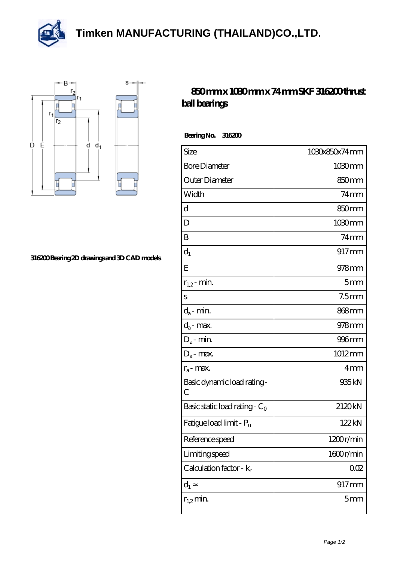**[Timken MANUFACTURING \(THAILAND\)CO.,LTD.](https://m.thereclaimer.net)**





## **[316200 Bearing 2D drawings and 3D CAD models](https://m.thereclaimer.net/pic-65136275.html)**

## **[850 mm x 1030 mm x 74 mm SKF 316200 thrust](https://m.thereclaimer.net/skf-316200-bearing/) [ball bearings](https://m.thereclaimer.net/skf-316200-bearing/)**

 **Bearing No. 316200**

| Size                             | 1030x850x74mm     |
|----------------------------------|-------------------|
| <b>Bore Diameter</b>             | 1030mm            |
| Outer Diameter                   | 850mm             |
| Width                            | $74$ mm           |
| d                                | 850mm             |
| D                                | $1030 \text{mm}$  |
| B                                | $74$ mm           |
| $d_1$                            | 917mm             |
| E                                | $978$ mm          |
| $r_{1,2}$ - min.                 | 5 <sub>mm</sub>   |
| S                                | $7.5$ mm          |
| $d_a$ - min.                     | 868 <sub>mm</sub> |
| $d_a$ - max.                     | 978mm             |
| $D_a$ - min.                     | $996$ mm          |
| $D_a$ - max.                     | 1012mm            |
| $r_a$ - max.                     | 4 <sub>mm</sub>   |
| Basic dynamic load rating-<br>C  | 935kN             |
| Basic static load rating - $C_0$ | 2120kN            |
| Fatigue load limit - Pu          | 122kN             |
| Reference speed                  | 1200r/min         |
| Limiting speed                   | 1600r/min         |
| Calculation factor - $k_r$       | QŒ                |
| $d_1$                            | $917$ mm          |
| $r_{1,2}$ min.                   | 5 <sub>mm</sub>   |
|                                  |                   |